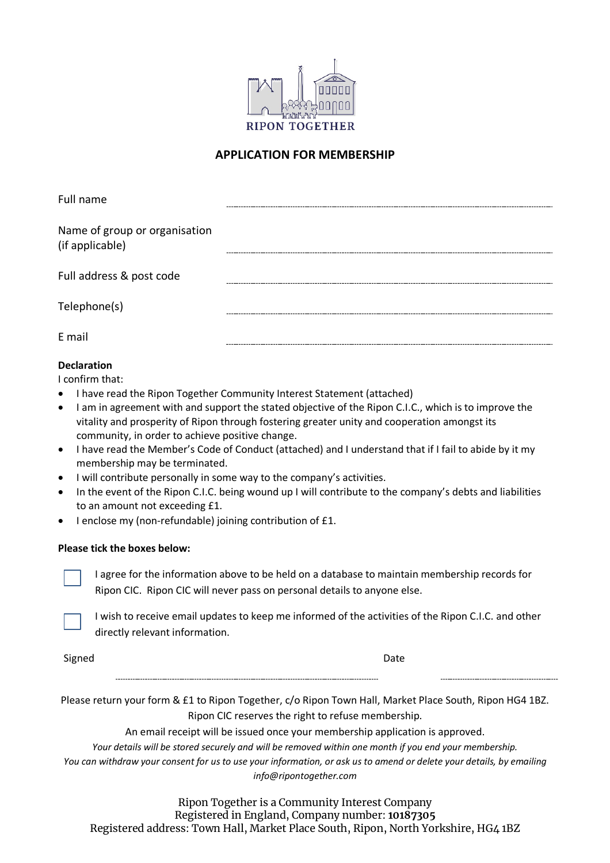

### **APPLICATION FOR MEMBERSHIP**

| Full name                                        |  |
|--------------------------------------------------|--|
| Name of group or organisation<br>(if applicable) |  |
| Full address & post code                         |  |
| Telephone(s)                                     |  |
| E mail                                           |  |

### **Declaration**

I confirm that:

- I have read the Ripon Together Community Interest Statement (attached)
- I am in agreement with and support the stated objective of the Ripon C.I.C., which is to improve the vitality and prosperity of Ripon through fostering greater unity and cooperation amongst its community, in order to achieve positive change.
- I have read the Member's Code of Conduct (attached) and I understand that if I fail to abide by it my membership may be terminated.
- I will contribute personally in some way to the company's activities.
- In the event of the Ripon C.I.C. being wound up I will contribute to the company's debts and liabilities to an amount not exceeding £1.
- I enclose my (non-refundable) joining contribution of £1.

#### **Please tick the boxes below:**

I agree for the information above to be held on a database to maintain membership records for Ripon CIC. Ripon CIC will never pass on personal details to anyone else.



I wish to receive email updates to keep me informed of the activities of the Ripon C.I.C. and other directly relevant information.

Signed **Date** 

Please return your form & £1 to Ripon Together, c/o Ripon Town Hall, Market Place South, Ripon HG4 1BZ. Ripon CIC reserves the right to refuse membership.

An email receipt will be issued once your membership application is approved.

*Your details will be stored securely and will be removed within one month if you end your membership.*

*You can withdraw your consent for us to use your information, or ask us to amend or delete your details, by emailing info@ripontogether.com*

Ripon Together is a Community Interest Company Registered in England, Company number: **10187305** Registered address: Town Hall, Market Place South, Ripon, North Yorkshire, HG4 1BZ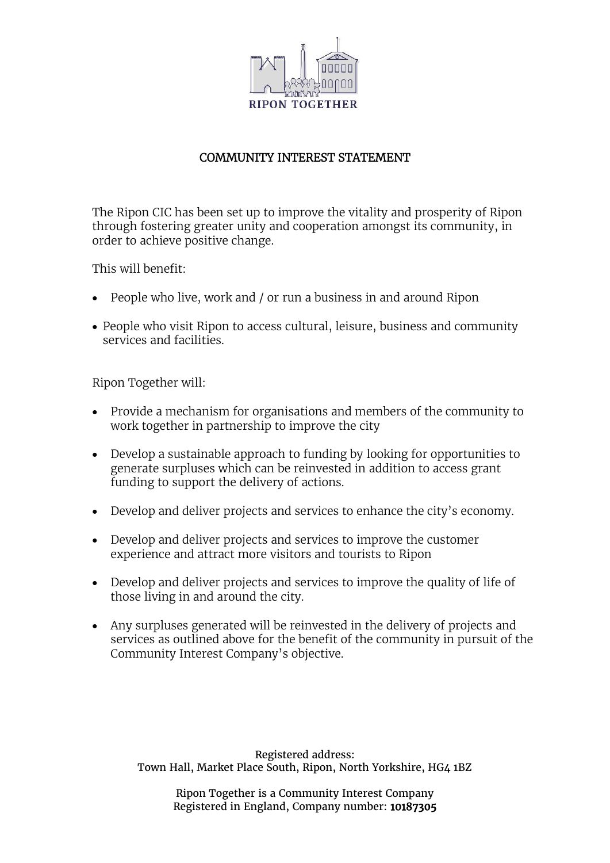

## COMMUNITY INTEREST STATEMENT

The Ripon CIC has been set up to improve the vitality and prosperity of Ripon through fostering greater unity and cooperation amongst its community, in order to achieve positive change.

This will benefit:

- People who live, work and / or run a business in and around Ripon
- People who visit Ripon to access cultural, leisure, business and community services and facilities.

Ripon Together will:

- Provide a mechanism for organisations and members of the community to work together in partnership to improve the city
- Develop a sustainable approach to funding by looking for opportunities to generate surpluses which can be reinvested in addition to access grant funding to support the delivery of actions.
- Develop and deliver projects and services to enhance the city's economy.
- Develop and deliver projects and services to improve the customer experience and attract more visitors and tourists to Ripon
- Develop and deliver projects and services to improve the quality of life of those living in and around the city.
- Any surpluses generated will be reinvested in the delivery of projects and services as outlined above for the benefit of the community in pursuit of the Community Interest Company's objective.

Registered address: Town Hall, Market Place South, Ripon, North Yorkshire, HG4 1BZ

> Ripon Together is a Community Interest Company Registered in England, Company number: 10187305